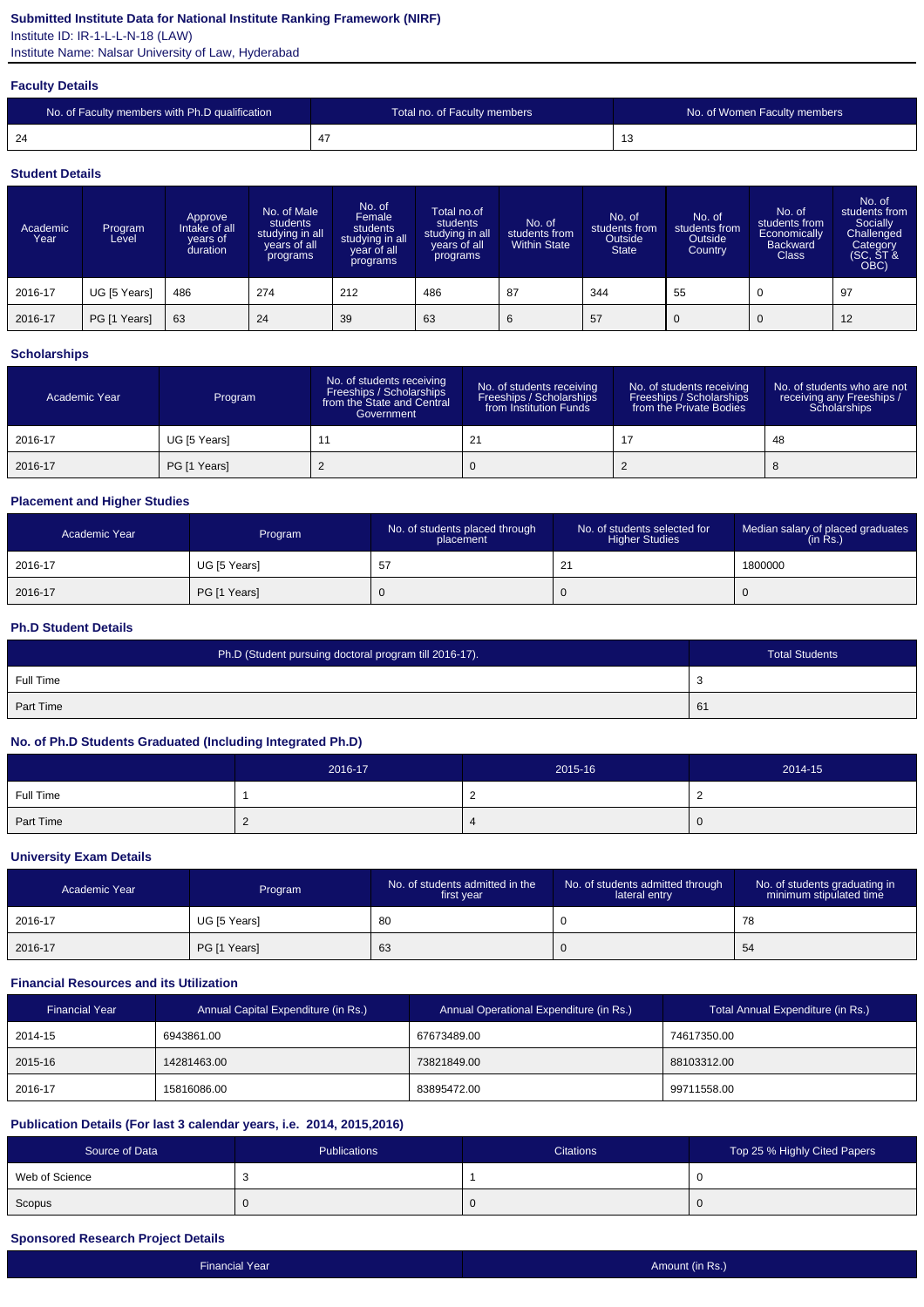### **Submitted Institute Data for National Institute Ranking Framework (NIRF)**

Institute ID: IR-1-L-L-N-18 (LAW)

Institute Name: Nalsar University of Law, Hyderabad

#### **Faculty Details**

| No. of Faculty members with Ph.D qualification | Total no. of Faculty members | No. of Women Faculty members |
|------------------------------------------------|------------------------------|------------------------------|
| -24                                            |                              | ່≀                           |

#### **Student Details**

| Academic<br>Year | Program<br>Level | Approve<br>Intake of all<br>vears of<br>duration | No. of Male<br>students<br>studying in all<br>years of all<br>programs | No. of<br>Female<br>students<br>studying in all<br>year of all<br>programs | Total no.of<br>students<br>studying in all<br>years of all<br>programs | No. of<br>students from<br><b>Within State</b> | No. of<br>students from<br>Outside<br><b>State</b> | No. of<br>students from<br>Outside<br>Country | No. of<br>students from<br>Economically<br><b>Backward</b><br><b>Class</b> | No. of<br>students from<br>Socially<br>Challenged<br>Category<br>(SC, ST &<br>OBC) |
|------------------|------------------|--------------------------------------------------|------------------------------------------------------------------------|----------------------------------------------------------------------------|------------------------------------------------------------------------|------------------------------------------------|----------------------------------------------------|-----------------------------------------------|----------------------------------------------------------------------------|------------------------------------------------------------------------------------|
| 2016-17          | UG [5 Years]     | 486                                              | 274                                                                    | 212                                                                        | 486                                                                    | 87                                             | 344                                                | 55                                            | $\mathbf 0$                                                                | 97                                                                                 |
| 2016-17          | PG [1 Years]     | 63                                               | 24                                                                     | 39                                                                         | 63                                                                     | 6                                              | 57                                                 |                                               | $\overline{0}$                                                             | 12                                                                                 |

### **Scholarships**

| Academic Year | Program      | No. of students receiving<br>Freeships / Scholarships<br>from the State and Central<br>Government | No. of students receiving<br>Freeships / Scholarships<br>from Institution Funds | No. of students receiving<br>Freeships / Scholarships<br>from the Private Bodies | No. of students who are not<br>receiving any Freeships /<br>Scholarships |
|---------------|--------------|---------------------------------------------------------------------------------------------------|---------------------------------------------------------------------------------|----------------------------------------------------------------------------------|--------------------------------------------------------------------------|
| 2016-17       | UG [5 Years] |                                                                                                   | 21                                                                              |                                                                                  | 48                                                                       |
| 2016-17       | PG [1 Years] |                                                                                                   |                                                                                 |                                                                                  |                                                                          |

### **Placement and Higher Studies**

| Academic Year | Program      | No. of students placed through<br>placement | No. of students selected for<br><b>Higher Studies</b> | Median salary of placed graduates<br>(in Rs.) |
|---------------|--------------|---------------------------------------------|-------------------------------------------------------|-----------------------------------------------|
| 2016-17       | UG [5 Years] | -57                                         | 21<br><u>_</u>                                        | 1800000                                       |
| 2016-17       | PG [1 Years] | -C                                          |                                                       | v                                             |

### **Ph.D Student Details**

| Ph.D (Student pursuing doctoral program till 2016-17). | <b>Total Students</b> |
|--------------------------------------------------------|-----------------------|
| Full Time                                              | - ა                   |
| Part Time                                              | 61                    |

### **No. of Ph.D Students Graduated (Including Integrated Ph.D)**

|           | 2016-17 | 2015-16 | 2014-15 |
|-----------|---------|---------|---------|
| Full Time |         |         |         |
| Part Time |         |         | U       |

#### **University Exam Details**

| Academic Year | Program      | No. of students admitted in the<br>first year | No. of students admitted through<br>lateral entry | No. of students graduating in<br>minimum stipulated time |
|---------------|--------------|-----------------------------------------------|---------------------------------------------------|----------------------------------------------------------|
| 2016-17       | UG [5 Years] | 80                                            |                                                   | 78                                                       |
| 2016-17       | PG [1 Years] | 63                                            |                                                   | 54                                                       |

### **Financial Resources and its Utilization**

| <b>Financial Year</b> | Annual Capital Expenditure (in Rs.) | Annual Operational Expenditure (in Rs.) | Total Annual Expenditure (in Rs.) |
|-----------------------|-------------------------------------|-----------------------------------------|-----------------------------------|
| 2014-15               | 6943861.00                          | 67673489.00                             | 74617350.00                       |
| 2015-16               | 14281463.00                         | 73821849.00                             | 88103312.00                       |
| 2016-17               | 15816086.00                         | 83895472.00                             | 99711558.00                       |

### **Publication Details (For last 3 calendar years, i.e. 2014, 2015,2016)**

| Source of Data | Publications | <b>Citations</b> | Top 25 % Highly Cited Papers |
|----------------|--------------|------------------|------------------------------|
| Web of Science |              |                  |                              |
| Scopus         |              | . .              |                              |

### **Sponsored Research Project Details**

| <b>Financial Year</b> | Amount (in Rs.) |
|-----------------------|-----------------|
|                       |                 |